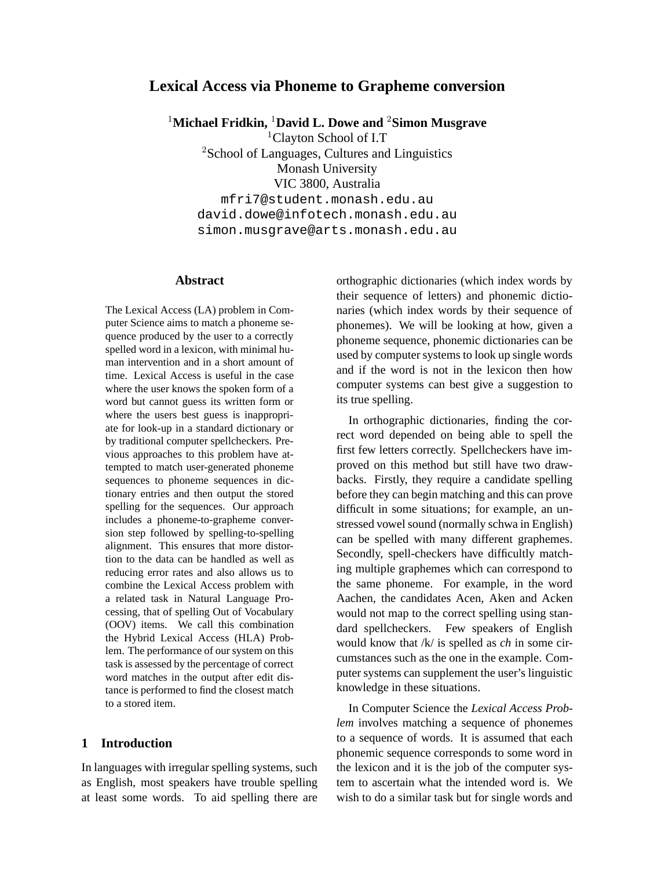# **Lexical Access via Phoneme to Grapheme conversion**

<sup>1</sup>**Michael Fridkin,** <sup>1</sup>**David L. Dowe and** <sup>2</sup>**Simon Musgrave**

<sup>1</sup>Clayton School of I.T <sup>2</sup>School of Languages, Cultures and Linguistics Monash University VIC 3800, Australia mfri7@student.monash.edu.au david.dowe@infotech.monash.edu.au simon.musgrave@arts.monash.edu.au

#### **Abstract**

The Lexical Access (LA) problem in Computer Science aims to match a phoneme sequence produced by the user to a correctly spelled word in a lexicon, with minimal human intervention and in a short amount of time. Lexical Access is useful in the case where the user knows the spoken form of a word but cannot guess its written form or where the users best guess is inappropriate for look-up in a standard dictionary or by traditional computer spellcheckers. Previous approaches to this problem have attempted to match user-generated phoneme sequences to phoneme sequences in dictionary entries and then output the stored spelling for the sequences. Our approach includes a phoneme-to-grapheme conversion step followed by spelling-to-spelling alignment. This ensures that more distortion to the data can be handled as well as reducing error rates and also allows us to combine the Lexical Access problem with a related task in Natural Language Processing, that of spelling Out of Vocabulary (OOV) items. We call this combination the Hybrid Lexical Access (HLA) Problem. The performance of our system on this task is assessed by the percentage of correct word matches in the output after edit distance is performed to find the closest match to a stored item.

# **1 Introduction**

In languages with irregular spelling systems, such as English, most speakers have trouble spelling at least some words. To aid spelling there are

orthographic dictionaries (which index words by their sequence of letters) and phonemic dictionaries (which index words by their sequence of phonemes). We will be looking at how, given a phoneme sequence, phonemic dictionaries can be used by computer systems to look up single words and if the word is not in the lexicon then how computer systems can best give a suggestion to its true spelling.

In orthographic dictionaries, finding the correct word depended on being able to spell the first few letters correctly. Spellcheckers have improved on this method but still have two drawbacks. Firstly, they require a candidate spelling before they can begin matching and this can prove difficult in some situations; for example, an unstressed vowel sound (normally schwa in English) can be spelled with many different graphemes. Secondly, spell-checkers have difficultly matching multiple graphemes which can correspond to the same phoneme. For example, in the word Aachen, the candidates Acen, Aken and Acken would not map to the correct spelling using standard spellcheckers. Few speakers of English would know that /k/ is spelled as *ch* in some circumstances such as the one in the example. Computer systems can supplement the user's linguistic knowledge in these situations.

In Computer Science the *Lexical Access Problem* involves matching a sequence of phonemes to a sequence of words. It is assumed that each phonemic sequence corresponds to some word in the lexicon and it is the job of the computer system to ascertain what the intended word is. We wish to do a similar task but for single words and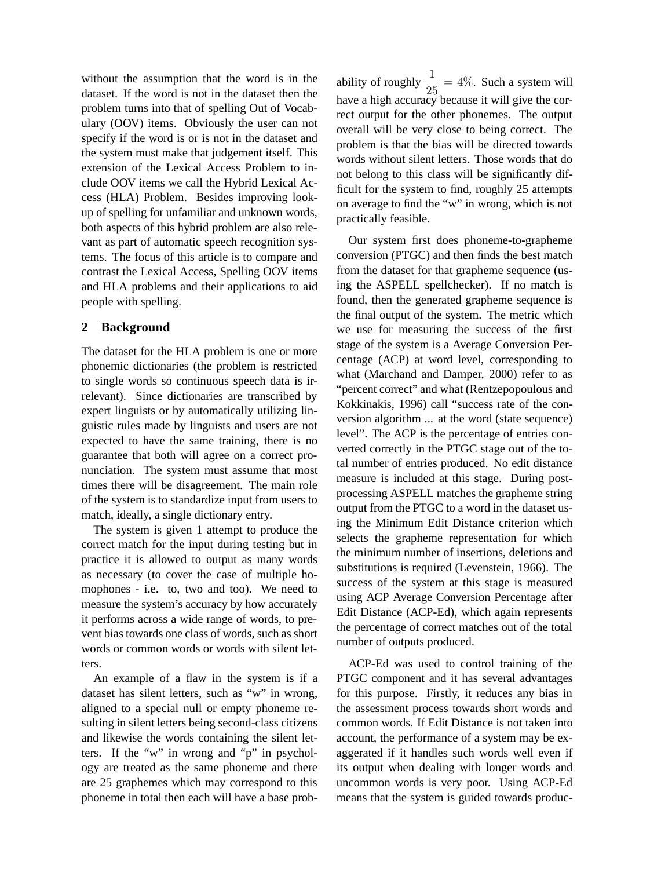without the assumption that the word is in the dataset. If the word is not in the dataset then the problem turns into that of spelling Out of Vocabulary (OOV) items. Obviously the user can not specify if the word is or is not in the dataset and the system must make that judgement itself. This extension of the Lexical Access Problem to include OOV items we call the Hybrid Lexical Access (HLA) Problem. Besides improving lookup of spelling for unfamiliar and unknown words, both aspects of this hybrid problem are also relevant as part of automatic speech recognition systems. The focus of this article is to compare and contrast the Lexical Access, Spelling OOV items and HLA problems and their applications to aid people with spelling.

# **2 Background**

The dataset for the HLA problem is one or more phonemic dictionaries (the problem is restricted to single words so continuous speech data is irrelevant). Since dictionaries are transcribed by expert linguists or by automatically utilizing linguistic rules made by linguists and users are not expected to have the same training, there is no guarantee that both will agree on a correct pronunciation. The system must assume that most times there will be disagreement. The main role of the system is to standardize input from users to match, ideally, a single dictionary entry.

The system is given 1 attempt to produce the correct match for the input during testing but in practice it is allowed to output as many words as necessary (to cover the case of multiple homophones - i.e. to, two and too). We need to measure the system's accuracy by how accurately it performs across a wide range of words, to prevent bias towards one class of words, such as short words or common words or words with silent letters.

An example of a flaw in the system is if a dataset has silent letters, such as "w" in wrong, aligned to a special null or empty phoneme resulting in silent letters being second-class citizens and likewise the words containing the silent letters. If the "w" in wrong and "p" in psychology are treated as the same phoneme and there are 25 graphemes which may correspond to this phoneme in total then each will have a base prob-

ability of roughly  $\frac{1}{25} = 4\%$ . Such a system will have a high accuracy because it will give the correct output for the other phonemes. The output overall will be very close to being correct. The problem is that the bias will be directed towards words without silent letters. Those words that do not belong to this class will be significantly difficult for the system to find, roughly 25 attempts on average to find the "w" in wrong, which is not practically feasible.

Our system first does phoneme-to-grapheme conversion (PTGC) and then finds the best match from the dataset for that grapheme sequence (using the ASPELL spellchecker). If no match is found, then the generated grapheme sequence is the final output of the system. The metric which we use for measuring the success of the first stage of the system is a Average Conversion Percentage (ACP) at word level, corresponding to what (Marchand and Damper, 2000) refer to as "percent correct" and what (Rentzepopoulous and Kokkinakis, 1996) call "success rate of the conversion algorithm ... at the word (state sequence) level". The ACP is the percentage of entries converted correctly in the PTGC stage out of the total number of entries produced. No edit distance measure is included at this stage. During postprocessing ASPELL matches the grapheme string output from the PTGC to a word in the dataset using the Minimum Edit Distance criterion which selects the grapheme representation for which the minimum number of insertions, deletions and substitutions is required (Levenstein, 1966). The success of the system at this stage is measured using ACP Average Conversion Percentage after Edit Distance (ACP-Ed), which again represents the percentage of correct matches out of the total number of outputs produced.

ACP-Ed was used to control training of the PTGC component and it has several advantages for this purpose. Firstly, it reduces any bias in the assessment process towards short words and common words. If Edit Distance is not taken into account, the performance of a system may be exaggerated if it handles such words well even if its output when dealing with longer words and uncommon words is very poor. Using ACP-Ed means that the system is guided towards produc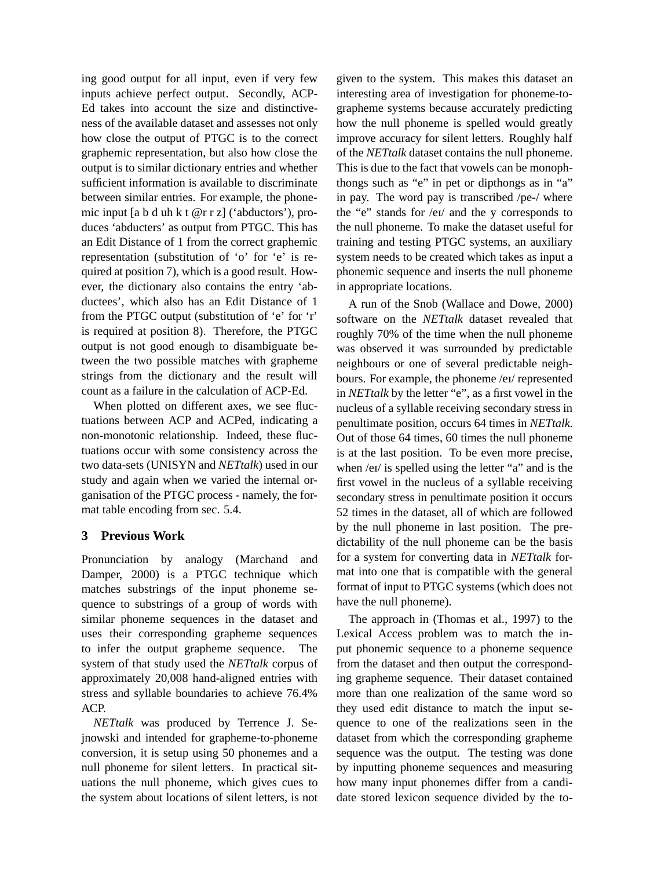ing good output for all input, even if very few inputs achieve perfect output. Secondly, ACP-Ed takes into account the size and distinctiveness of the available dataset and assesses not only how close the output of PTGC is to the correct graphemic representation, but also how close the output is to similar dictionary entries and whether sufficient information is available to discriminate between similar entries. For example, the phonemic input [a b d uh k t @r r z] ('abductors'), produces 'abducters' as output from PTGC. This has an Edit Distance of 1 from the correct graphemic representation (substitution of 'o' for 'e' is required at position 7), which is a good result. However, the dictionary also contains the entry 'abductees', which also has an Edit Distance of 1 from the PTGC output (substitution of 'e' for 'r' is required at position 8). Therefore, the PTGC output is not good enough to disambiguate between the two possible matches with grapheme strings from the dictionary and the result will count as a failure in the calculation of ACP-Ed.

When plotted on different axes, we see fluctuations between ACP and ACPed, indicating a non-monotonic relationship. Indeed, these fluctuations occur with some consistency across the two data-sets (UNISYN and *NETtalk*) used in our study and again when we varied the internal organisation of the PTGC process - namely, the format table encoding from sec. 5.4.

# **3 Previous Work**

Pronunciation by analogy (Marchand and Damper, 2000) is a PTGC technique which matches substrings of the input phoneme sequence to substrings of a group of words with similar phoneme sequences in the dataset and uses their corresponding grapheme sequences to infer the output grapheme sequence. The system of that study used the *NETtalk* corpus of approximately 20,008 hand-aligned entries with stress and syllable boundaries to achieve 76.4% ACP.

*NETtalk* was produced by Terrence J. Sejnowski and intended for grapheme-to-phoneme conversion, it is setup using 50 phonemes and a null phoneme for silent letters. In practical situations the null phoneme, which gives cues to the system about locations of silent letters, is not given to the system. This makes this dataset an interesting area of investigation for phoneme-tographeme systems because accurately predicting how the null phoneme is spelled would greatly improve accuracy for silent letters. Roughly half of the *NETtalk* dataset contains the null phoneme. This is due to the fact that vowels can be monophthongs such as "e" in pet or dipthongs as in "a" in pay. The word pay is transcribed /pe-/ where the "e" stands for /eI/ and the y corresponds to the null phoneme. To make the dataset useful for training and testing PTGC systems, an auxiliary system needs to be created which takes as input a phonemic sequence and inserts the null phoneme in appropriate locations.

A run of the Snob (Wallace and Dowe, 2000) software on the *NETtalk* dataset revealed that roughly 70% of the time when the null phoneme was observed it was surrounded by predictable neighbours or one of several predictable neighbours. For example, the phoneme /eI/ represented in *NETtalk* by the letter "e", as a first vowel in the nucleus of a syllable receiving secondary stress in penultimate position, occurs 64 times in *NETtalk*. Out of those 64 times, 60 times the null phoneme is at the last position. To be even more precise, when /e $\nu$  is spelled using the letter "a" and is the first vowel in the nucleus of a syllable receiving secondary stress in penultimate position it occurs 52 times in the dataset, all of which are followed by the null phoneme in last position. The predictability of the null phoneme can be the basis for a system for converting data in *NETtalk* format into one that is compatible with the general format of input to PTGC systems (which does not have the null phoneme).

The approach in (Thomas et al., 1997) to the Lexical Access problem was to match the input phonemic sequence to a phoneme sequence from the dataset and then output the corresponding grapheme sequence. Their dataset contained more than one realization of the same word so they used edit distance to match the input sequence to one of the realizations seen in the dataset from which the corresponding grapheme sequence was the output. The testing was done by inputting phoneme sequences and measuring how many input phonemes differ from a candidate stored lexicon sequence divided by the to-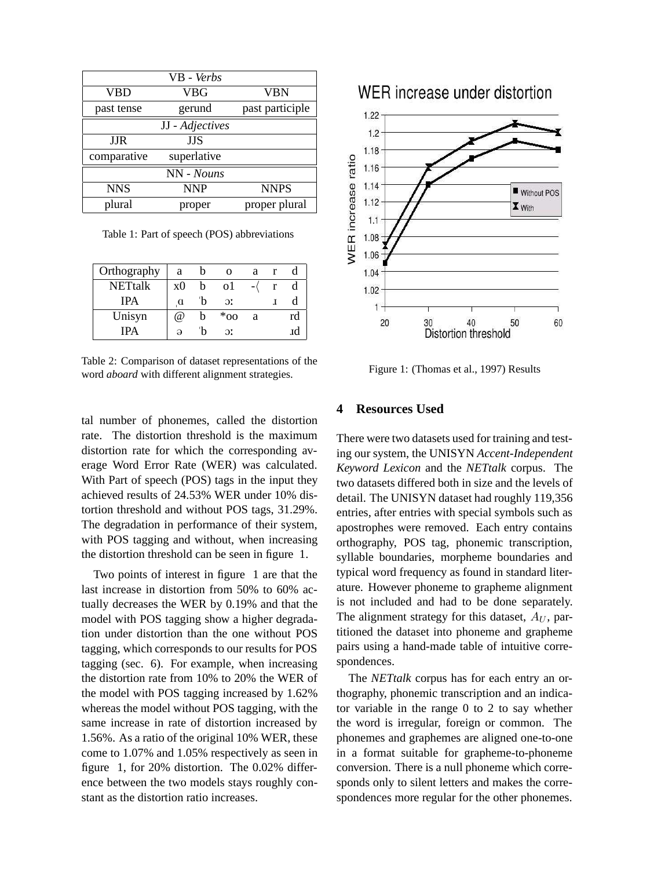| VB - Verbs  |                 |                 |  |  |  |
|-------------|-----------------|-----------------|--|--|--|
| VBD         | VBG             | VBN             |  |  |  |
| past tense  | gerund          | past participle |  |  |  |
|             | JJ - Adjectives |                 |  |  |  |
| <b>JJR</b>  | <b>JJS</b>      |                 |  |  |  |
| comparative |                 |                 |  |  |  |
| NN - Nouns  |                 |                 |  |  |  |
| <b>NNS</b>  | <b>NNP</b>      | <b>NNPS</b>     |  |  |  |
| plural      | proper          | proper plural   |  |  |  |

Table 1: Part of speech (POS) abbreviations

| Orthography    | a  | n | Ω                        | а |    |
|----------------|----|---|--------------------------|---|----|
| <b>NETtalk</b> | x0 | h | ΩI                       |   |    |
| <b>IPA</b>     | a  | h | $\overline{\mathcal{L}}$ |   |    |
| Unisyn         | @  |   | $*_{00}$                 | а | rd |
| <b>IPA</b>     | Э  |   | ЭI                       |   | τd |

Table 2: Comparison of dataset representations of the word *aboard* with different alignment strategies.

tal number of phonemes, called the distortion rate. The distortion threshold is the maximum distortion rate for which the corresponding average Word Error Rate (WER) was calculated. With Part of speech (POS) tags in the input they achieved results of 24.53% WER under 10% distortion threshold and without POS tags, 31.29%. The degradation in performance of their system, with POS tagging and without, when increasing the distortion threshold can be seen in figure 1.

Two points of interest in figure 1 are that the last increase in distortion from 50% to 60% actually decreases the WER by 0.19% and that the model with POS tagging show a higher degradation under distortion than the one without POS tagging, which corresponds to our results for POS tagging (sec. 6). For example, when increasing the distortion rate from 10% to 20% the WER of the model with POS tagging increased by 1.62% whereas the model without POS tagging, with the same increase in rate of distortion increased by 1.56%. As a ratio of the original 10% WER, these come to 1.07% and 1.05% respectively as seen in figure 1, for 20% distortion. The 0.02% difference between the two models stays roughly constant as the distortion ratio increases.



Figure 1: (Thomas et al., 1997) Results

# **4 Resources Used**

There were two datasets used for training and testing our system, the UNISYN *Accent-Independent Keyword Lexicon* and the *NETtalk* corpus. The two datasets differed both in size and the levels of detail. The UNISYN dataset had roughly 119,356 entries, after entries with special symbols such as apostrophes were removed. Each entry contains orthography, POS tag, phonemic transcription, syllable boundaries, morpheme boundaries and typical word frequency as found in standard literature. However phoneme to grapheme alignment is not included and had to be done separately. The alignment strategy for this dataset,  $A_{U}$ , partitioned the dataset into phoneme and grapheme pairs using a hand-made table of intuitive correspondences.

The *NETtalk* corpus has for each entry an orthography, phonemic transcription and an indicator variable in the range 0 to 2 to say whether the word is irregular, foreign or common. The phonemes and graphemes are aligned one-to-one in a format suitable for grapheme-to-phoneme conversion. There is a null phoneme which corresponds only to silent letters and makes the correspondences more regular for the other phonemes.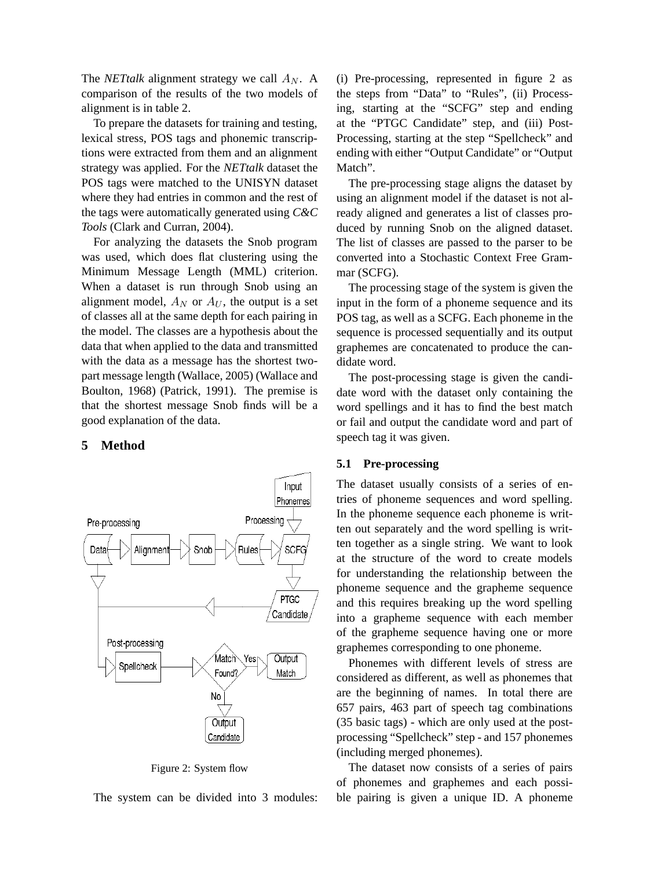The *NETtalk* alignment strategy we call  $A_N$ . A comparison of the results of the two models of alignment is in table 2.

To prepare the datasets for training and testing, lexical stress, POS tags and phonemic transcriptions were extracted from them and an alignment strategy was applied. For the *NETtalk* dataset the POS tags were matched to the UNISYN dataset where they had entries in common and the rest of the tags were automatically generated using *C&C Tools* (Clark and Curran, 2004).

For analyzing the datasets the Snob program was used, which does flat clustering using the Minimum Message Length (MML) criterion. When a dataset is run through Snob using an alignment model,  $A_N$  or  $A_U$ , the output is a set of classes all at the same depth for each pairing in the model. The classes are a hypothesis about the data that when applied to the data and transmitted with the data as a message has the shortest twopart message length (Wallace, 2005) (Wallace and Boulton, 1968) (Patrick, 1991). The premise is that the shortest message Snob finds will be a good explanation of the data.

# **5 Method**



Figure 2: System flow

The system can be divided into 3 modules:

(i) Pre-processing, represented in figure 2 as the steps from "Data" to "Rules", (ii) Processing, starting at the "SCFG" step and ending at the "PTGC Candidate" step, and (iii) Post-Processing, starting at the step "Spellcheck" and ending with either "Output Candidate" or "Output Match".

The pre-processing stage aligns the dataset by using an alignment model if the dataset is not already aligned and generates a list of classes produced by running Snob on the aligned dataset. The list of classes are passed to the parser to be converted into a Stochastic Context Free Grammar (SCFG).

The processing stage of the system is given the input in the form of a phoneme sequence and its POS tag, as well as a SCFG. Each phoneme in the sequence is processed sequentially and its output graphemes are concatenated to produce the candidate word.

The post-processing stage is given the candidate word with the dataset only containing the word spellings and it has to find the best match or fail and output the candidate word and part of speech tag it was given.

#### **5.1 Pre-processing**

The dataset usually consists of a series of entries of phoneme sequences and word spelling. In the phoneme sequence each phoneme is written out separately and the word spelling is written together as a single string. We want to look at the structure of the word to create models for understanding the relationship between the phoneme sequence and the grapheme sequence and this requires breaking up the word spelling into a grapheme sequence with each member of the grapheme sequence having one or more graphemes corresponding to one phoneme.

Phonemes with different levels of stress are considered as different, as well as phonemes that are the beginning of names. In total there are 657 pairs, 463 part of speech tag combinations (35 basic tags) - which are only used at the postprocessing "Spellcheck" step - and 157 phonemes (including merged phonemes).

The dataset now consists of a series of pairs of phonemes and graphemes and each possible pairing is given a unique ID. A phoneme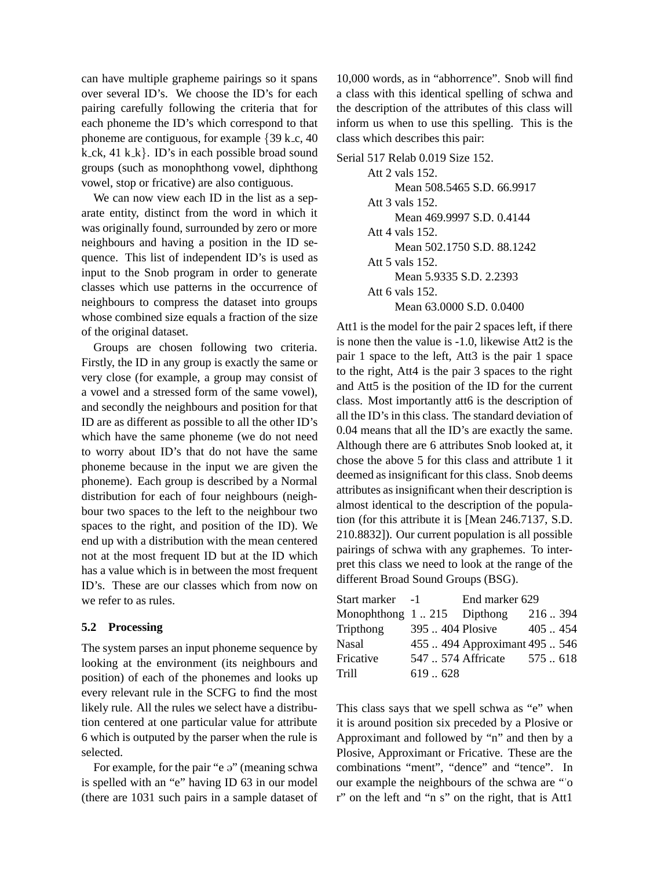can have multiple grapheme pairings so it spans over several ID's. We choose the ID's for each pairing carefully following the criteria that for each phoneme the ID's which correspond to that phoneme are contiguous, for example  $\{39 \text{ k.c}, 40\}$ k  $ck$ , 41 k  $k$ . ID's in each possible broad sound groups (such as monophthong vowel, diphthong vowel, stop or fricative) are also contiguous.

We can now view each ID in the list as a separate entity, distinct from the word in which it was originally found, surrounded by zero or more neighbours and having a position in the ID sequence. This list of independent ID's is used as input to the Snob program in order to generate classes which use patterns in the occurrence of neighbours to compress the dataset into groups whose combined size equals a fraction of the size of the original dataset.

Groups are chosen following two criteria. Firstly, the ID in any group is exactly the same or very close (for example, a group may consist of a vowel and a stressed form of the same vowel), and secondly the neighbours and position for that ID are as different as possible to all the other ID's which have the same phoneme (we do not need to worry about ID's that do not have the same phoneme because in the input we are given the phoneme). Each group is described by a Normal distribution for each of four neighbours (neighbour two spaces to the left to the neighbour two spaces to the right, and position of the ID). We end up with a distribution with the mean centered not at the most frequent ID but at the ID which has a value which is in between the most frequent ID's. These are our classes which from now on we refer to as rules.

#### **5.2 Processing**

The system parses an input phoneme sequence by looking at the environment (its neighbours and position) of each of the phonemes and looks up every relevant rule in the SCFG to find the most likely rule. All the rules we select have a distribution centered at one particular value for attribute 6 which is outputed by the parser when the rule is selected.

For example, for the pair "e a" (meaning schwa is spelled with an "e" having ID 63 in our model (there are 1031 such pairs in a sample dataset of 10,000 words, as in "abhorr*e*nce". Snob will find a class with this identical spelling of schwa and the description of the attributes of this class will inform us when to use this spelling. This is the class which describes this pair:

Serial 517 Relab 0.019 Size 152.

```
Att 2 vals 152.
     Mean 508.5465 S.D. 66.9917
Att 3 vals 152.
     Mean 469.9997 S.D. 0.4144
Att 4 vals 152.
     Mean 502.1750 S.D. 88.1242
Att 5 vals 152.
     Mean 5.9335 S.D. 2.2393
Att 6 vals 152.
     Mean 63.0000 S.D. 0.0400
```
Att1 is the model for the pair 2 spaces left, if there is none then the value is -1.0, likewise Att2 is the pair 1 space to the left, Att3 is the pair 1 space to the right, Att4 is the pair 3 spaces to the right and Att5 is the position of the ID for the current class. Most importantly att6 is the description of all the ID's in this class. The standard deviation of 0.04 means that all the ID's are exactly the same. Although there are 6 attributes Snob looked at, it chose the above 5 for this class and attribute 1 it deemed as insignificant for this class. Snob deems attributes as insignificant when their description is almost identical to the description of the population (for this attribute it is [Mean 246.7137, S.D. 210.8832]). Our current population is all possible pairings of schwa with any graphemes. To interpret this class we need to look at the range of the different Broad Sound Groups (BSG).

| Start marker -1            |                  | End marker 629                |        |
|----------------------------|------------------|-------------------------------|--------|
| Monophthong 1.215 Dipthong |                  |                               | 216394 |
| Tripthong                  | 395  404 Plosive |                               | 405454 |
| Nasal                      |                  | 455  494 Approximant 495  546 |        |
| Fricative                  |                  | 547  574 Affricate            | 575618 |
| Trill                      | 619628           |                               |        |

This class says that we spell schwa as "e" when it is around position six preceded by a Plosive or Approximant and followed by "n" and then by a Plosive, Approximant or Fricative. These are the combinations "ment", "dence" and "tence". In our example the neighbours of the schwa are ""o r" on the left and "n s" on the right, that is Att1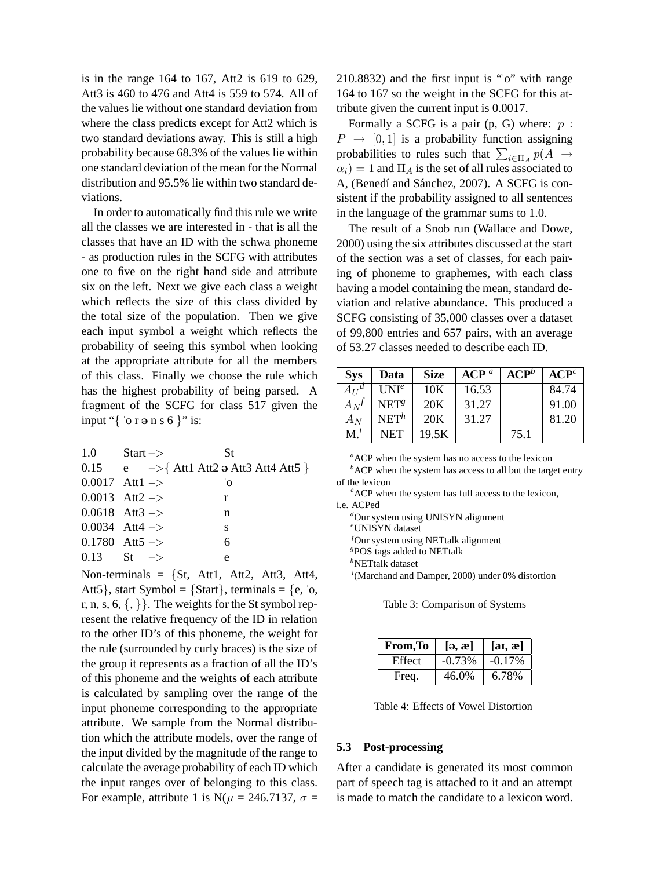is in the range 164 to 167, Att2 is 619 to 629, Att3 is 460 to 476 and Att4 is 559 to 574. All of the values lie without one standard deviation from where the class predicts except for Att2 which is two standard deviations away. This is still a high probability because 68.3% of the values lie within one standard deviation of the mean for the Normal distribution and 95.5% lie within two standard deviations.

In order to automatically find this rule we write all the classes we are interested in - that is all the classes that have an ID with the schwa phoneme - as production rules in the SCFG with attributes one to five on the right hand side and attribute six on the left. Next we give each class a weight which reflects the size of this class divided by the total size of the population. Then we give each input symbol a weight which reflects the probability of seeing this symbol when looking at the appropriate attribute for all the members of this class. Finally we choose the rule which has the highest probability of being parsed. A fragment of the SCFG for class 517 given the input "{ 'o r  $\vartheta$  n s 6 }" is:

| $1.0$ Start $\rightarrow$    | St                                                              |
|------------------------------|-----------------------------------------------------------------|
|                              | 0.15 e $\rightarrow$ { Att1 Att2 $\rightarrow$ Att3 Att4 Att5 } |
| $0.0017$ Att $1 \rightarrow$ | 'റ                                                              |
| 0.0013 Att2 $\rightarrow$    | r                                                               |
| $0.0618$ Att $3 \rightarrow$ | n                                                               |
| $0.0034$ Att4 ->             | S                                                               |
| 0.1780 Att5 $-$ >            | 6                                                               |
| 0.13 St $\rightarrow$        | e                                                               |
|                              |                                                                 |

Non-terminals =  ${St, Att1, Att2, Att3, Att4, }$ Att5}, start Symbol =  $\{Start\}$ , terminals =  $\{e, 'o,$ r, n, s, 6,  $\{ , \}$ . The weights for the St symbol represent the relative frequency of the ID in relation to the other ID's of this phoneme, the weight for the rule (surrounded by curly braces) is the size of the group it represents as a fraction of all the ID's of this phoneme and the weights of each attribute is calculated by sampling over the range of the input phoneme corresponding to the appropriate attribute. We sample from the Normal distribution which the attribute models, over the range of the input divided by the magnitude of the range to calculate the average probability of each ID which the input ranges over of belonging to this class. For example, attribute 1 is N( $\mu$  = 246.7137,  $\sigma$  =

210.8832) and the first input is ""o" with range 164 to 167 so the weight in the SCFG for this attribute given the current input is 0.0017.

Formally a SCFG is a pair  $(p, G)$  where:  $p$ :  $P \rightarrow [0, 1]$  is a probability function assigning probabilities to rules such that  $\sum_{i\in\Pi_A} p(A \rightarrow$  $\alpha_i$ ) = 1 and  $\Pi_A$  is the set of all rules associated to A, (Benedí and Sánchez, 2007). A SCFG is consistent if the probability assigned to all sentences in the language of the grammar sums to 1.0.

The result of a Snob run (Wallace and Dowe, 2000) using the six attributes discussed at the start of the section was a set of classes, for each pairing of phoneme to graphemes, with each class having a model containing the mean, standard deviation and relative abundance. This produced a SCFG consisting of 35,000 classes over a dataset of 99,800 entries and 657 pairs, with an average of 53.27 classes needed to describe each ID.

| <b>Sys</b>     | Data             | <b>Size</b> | ${ACP}^a$ | $\mathbf{ACP}^b$ | $\mathbf{AC} \mathbf{P}^c$ |
|----------------|------------------|-------------|-----------|------------------|----------------------------|
| $A_{U}^{\ d}$  | $\text{UNI}^e$   | 10K         | 16.53     |                  | 84.74                      |
| $A_N^f$        | NET <sup>g</sup> | 20K         | 31.27     |                  | 91.00                      |
| $A_N$          | NET <sup>h</sup> | 20K         | 31.27     |                  | 81.20                      |
| M <sup>i</sup> | <b>NET</b>       | 19.5K       |           | 75.1             |                            |

<sup>*a*</sup>ACP when the system has no access to the lexicon

*b*ACP when the system has access to all but the target entry of the lexicon

*<sup>c</sup>*ACP when the system has full access to the lexicon, i.e. ACPed

*<sup>d</sup>*Our system using UNISYN alignment

*<sup>e</sup>*UNISYN dataset

*<sup>f</sup>*Our system using NETtalk alignment

<sup>*g*</sup>POS tags added to NETtalk

*h*NETtalk dataset

*i* (Marchand and Damper, 2000) under 0% distortion

Table 3: Comparison of Systems

| From, To | [a, a]   | [a, a]    |
|----------|----------|-----------|
| Effect   | $-0.73%$ | $-0.17\%$ |
| Freq.    | 46.0%    | 6.78%     |

Table 4: Effects of Vowel Distortion

#### **5.3 Post-processing**

After a candidate is generated its most common part of speech tag is attached to it and an attempt is made to match the candidate to a lexicon word.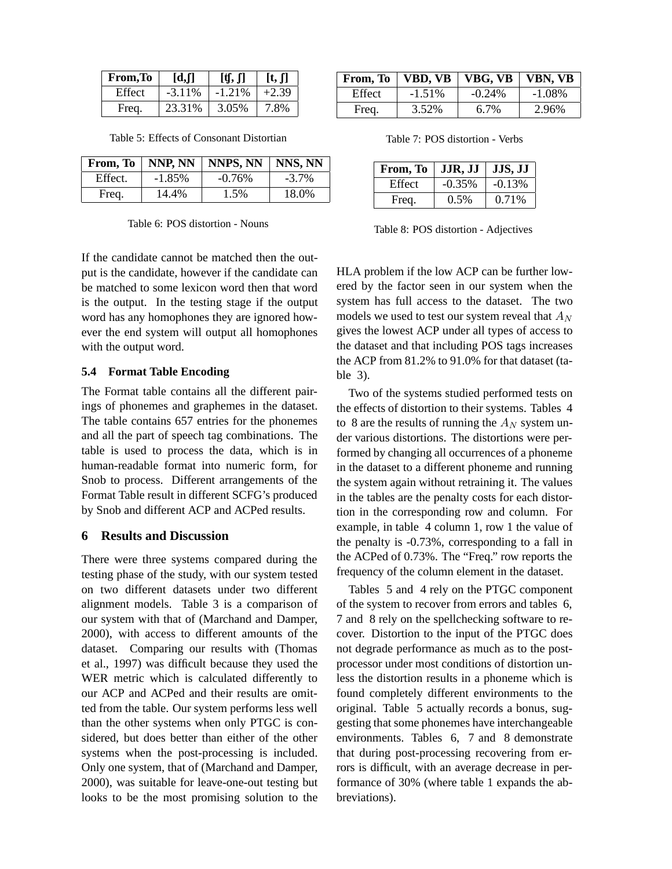| From, To | [d,[]]    | $[\mathfrak{t},\mathfrak{f}]$ | [t, f]  |
|----------|-----------|-------------------------------|---------|
| Effect   | $-3.11\%$ | $-1.21%$                      | $+2.39$ |
| Freq.    | 23.31%    | 3.05%                         | 7.8%    |

Table 5: Effects of Consonant Distortian

| From, To | NNP, NN  | NNPS, NN | NNS, NN  |
|----------|----------|----------|----------|
| Effect.  | $-1.85%$ | $-0.76%$ | $-3.7\%$ |
| Freq.    | 14.4%    | 1.5%     | 18.0%    |

Table 6: POS distortion - Nouns

If the candidate cannot be matched then the output is the candidate, however if the candidate can be matched to some lexicon word then that word is the output. In the testing stage if the output word has any homophones they are ignored however the end system will output all homophones with the output word.

### **5.4 Format Table Encoding**

The Format table contains all the different pairings of phonemes and graphemes in the dataset. The table contains 657 entries for the phonemes and all the part of speech tag combinations. The table is used to process the data, which is in human-readable format into numeric form, for Snob to process. Different arrangements of the Format Table result in different SCFG's produced by Snob and different ACP and ACPed results.

### **6 Results and Discussion**

There were three systems compared during the testing phase of the study, with our system tested on two different datasets under two different alignment models. Table 3 is a comparison of our system with that of (Marchand and Damper, 2000), with access to different amounts of the dataset. Comparing our results with (Thomas et al., 1997) was difficult because they used the WER metric which is calculated differently to our ACP and ACPed and their results are omitted from the table. Our system performs less well than the other systems when only PTGC is considered, but does better than either of the other systems when the post-processing is included. Only one system, that of (Marchand and Damper, 2000), was suitable for leave-one-out testing but looks to be the most promising solution to the

| From, To | VBD, VB  | $\mid$ VBG, VB | $\vert$ VBN, VB |
|----------|----------|----------------|-----------------|
| Effect   | $-1.51%$ | $-0.24\%$      | $-1.08%$        |
| Freq.    | 3.52%    | 6.7%           | 2.96%           |

Table 7: POS distortion - Verbs

| From, To | JJR, JJ  | JJS, JJ  |
|----------|----------|----------|
| Effect   | $-0.35%$ | $-0.13%$ |
| Freq.    | $0.5\%$  | 0.71%    |

Table 8: POS distortion - Adjectives

HLA problem if the low ACP can be further lowered by the factor seen in our system when the system has full access to the dataset. The two models we used to test our system reveal that  $A_N$ gives the lowest ACP under all types of access to the dataset and that including POS tags increases the ACP from 81.2% to 91.0% for that dataset (table 3).

Two of the systems studied performed tests on the effects of distortion to their systems. Tables 4 to 8 are the results of running the  $A_N$  system under various distortions. The distortions were performed by changing all occurrences of a phoneme in the dataset to a different phoneme and running the system again without retraining it. The values in the tables are the penalty costs for each distortion in the corresponding row and column. For example, in table 4 column 1, row 1 the value of the penalty is -0.73%, corresponding to a fall in the ACPed of 0.73%. The "Freq." row reports the frequency of the column element in the dataset.

Tables 5 and 4 rely on the PTGC component of the system to recover from errors and tables 6, 7 and 8 rely on the spellchecking software to recover. Distortion to the input of the PTGC does not degrade performance as much as to the postprocessor under most conditions of distortion unless the distortion results in a phoneme which is found completely different environments to the original. Table 5 actually records a bonus, suggesting that some phonemes have interchangeable environments. Tables 6, 7 and 8 demonstrate that during post-processing recovering from errors is difficult, with an average decrease in performance of 30% (where table 1 expands the abbreviations).